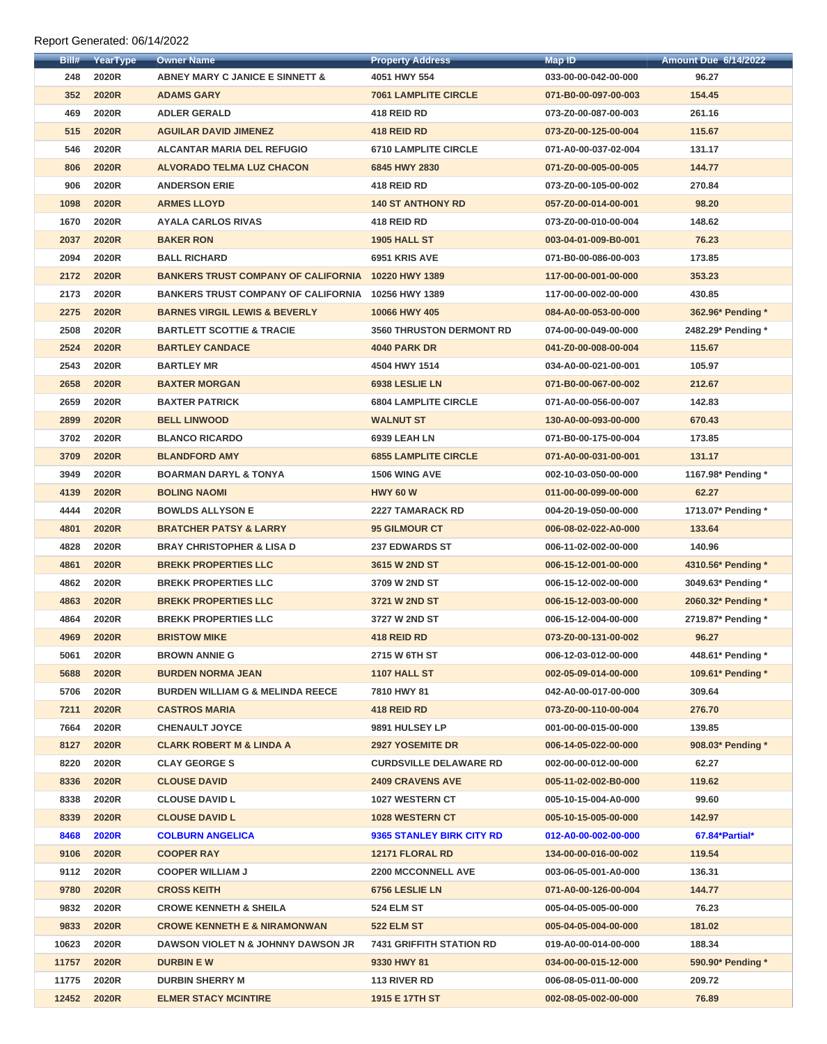| Bill# | YearType     | <b>Owner Name</b>                                  | <b>Property Address</b>         | Map ID               | <b>Amount Due 6/14/2022</b> |
|-------|--------------|----------------------------------------------------|---------------------------------|----------------------|-----------------------------|
| 248   | <b>2020R</b> | <b>ABNEY MARY C JANICE E SINNETT &amp;</b>         | 4051 HWY 554                    | 033-00-00-042-00-000 | 96.27                       |
| 352   | 2020R        | <b>ADAMS GARY</b>                                  | <b>7061 LAMPLITE CIRCLE</b>     | 071-B0-00-097-00-003 | 154.45                      |
| 469   | 2020R        | <b>ADLER GERALD</b>                                | 418 REID RD                     | 073-Z0-00-087-00-003 | 261.16                      |
| 515   | <b>2020R</b> | <b>AGUILAR DAVID JIMENEZ</b>                       | 418 REID RD                     | 073-Z0-00-125-00-004 | 115.67                      |
| 546   | 2020R        | <b>ALCANTAR MARIA DEL REFUGIO</b>                  | <b>6710 LAMPLITE CIRCLE</b>     | 071-A0-00-037-02-004 | 131.17                      |
| 806   | <b>2020R</b> | <b>ALVORADO TELMA LUZ CHACON</b>                   | 6845 HWY 2830                   | 071-Z0-00-005-00-005 | 144.77                      |
| 906   | 2020R        | <b>ANDERSON ERIE</b>                               | 418 REID RD                     | 073-Z0-00-105-00-002 | 270.84                      |
| 1098  | <b>2020R</b> | <b>ARMES LLOYD</b>                                 | <b>140 ST ANTHONY RD</b>        | 057-Z0-00-014-00-001 | 98.20                       |
| 1670  | 2020R        | <b>AYALA CARLOS RIVAS</b>                          | 418 REID RD                     | 073-Z0-00-010-00-004 | 148.62                      |
| 2037  | <b>2020R</b> | <b>BAKER RON</b>                                   | <b>1905 HALL ST</b>             | 003-04-01-009-B0-001 | 76.23                       |
| 2094  | 2020R        | <b>BALL RICHARD</b>                                | 6951 KRIS AVE                   | 071-B0-00-086-00-003 | 173.85                      |
| 2172  | <b>2020R</b> | BANKERS TRUST COMPANY OF CALIFORNIA 10220 HWY 1389 |                                 | 117-00-00-001-00-000 | 353.23                      |
| 2173  | 2020R        | BANKERS TRUST COMPANY OF CALIFORNIA 10256 HWY 1389 |                                 | 117-00-00-002-00-000 | 430.85                      |
| 2275  | <b>2020R</b> | <b>BARNES VIRGIL LEWIS &amp; BEVERLY</b>           | 10066 HWY 405                   | 084-A0-00-053-00-000 | 362.96* Pending *           |
| 2508  | 2020R        | <b>BARTLETT SCOTTIE &amp; TRACIE</b>               | <b>3560 THRUSTON DERMONT RD</b> | 074-00-00-049-00-000 | 2482.29* Pending *          |
| 2524  | <b>2020R</b> | <b>BARTLEY CANDACE</b>                             | <b>4040 PARK DR</b>             | 041-Z0-00-008-00-004 | 115.67                      |
| 2543  | 2020R        | <b>BARTLEY MR</b>                                  | 4504 HWY 1514                   | 034-A0-00-021-00-001 | 105.97                      |
| 2658  | <b>2020R</b> | <b>BAXTER MORGAN</b>                               | 6938 LESLIE LN                  | 071-B0-00-067-00-002 | 212.67                      |
| 2659  | 2020R        | <b>BAXTER PATRICK</b>                              | <b>6804 LAMPLITE CIRCLE</b>     | 071-A0-00-056-00-007 | 142.83                      |
| 2899  | <b>2020R</b> | <b>BELL LINWOOD</b>                                | <b>WALNUT ST</b>                | 130-A0-00-093-00-000 | 670.43                      |
| 3702  | 2020R        | <b>BLANCO RICARDO</b>                              | <b>6939 LEAH LN</b>             | 071-B0-00-175-00-004 | 173.85                      |
| 3709  | <b>2020R</b> | <b>BLANDFORD AMY</b>                               | <b>6855 LAMPLITE CIRCLE</b>     | 071-A0-00-031-00-001 | 131.17                      |
| 3949  | 2020R        | <b>BOARMAN DARYL &amp; TONYA</b>                   | <b>1506 WING AVE</b>            | 002-10-03-050-00-000 | 1167.98* Pending *          |
| 4139  | <b>2020R</b> | <b>BOLING NAOMI</b>                                | <b>HWY 60 W</b>                 | 011-00-00-099-00-000 | 62.27                       |
| 4444  | 2020R        | <b>BOWLDS ALLYSON E</b>                            | <b>2227 TAMARACK RD</b>         | 004-20-19-050-00-000 | 1713.07* Pending *          |
| 4801  | <b>2020R</b> | <b>BRATCHER PATSY &amp; LARRY</b>                  | <b>95 GILMOUR CT</b>            | 006-08-02-022-A0-000 | 133.64                      |
| 4828  | 2020R        | <b>BRAY CHRISTOPHER &amp; LISA D</b>               | <b>237 EDWARDS ST</b>           | 006-11-02-002-00-000 | 140.96                      |
| 4861  | <b>2020R</b> | <b>BREKK PROPERTIES LLC</b>                        | 3615 W 2ND ST                   | 006-15-12-001-00-000 | 4310.56* Pending *          |
| 4862  | 2020R        | <b>BREKK PROPERTIES LLC</b>                        | 3709 W 2ND ST                   | 006-15-12-002-00-000 | 3049.63* Pending *          |
| 4863  | <b>2020R</b> | <b>BREKK PROPERTIES LLC</b>                        | 3721 W 2ND ST                   | 006-15-12-003-00-000 | 2060.32* Pending *          |
| 4864  | 2020R        | <b>BREKK PROPERTIES LLC</b>                        | 3727 W 2ND ST                   | 006-15-12-004-00-000 | 2719.87* Pending *          |
| 4969  | 2020R        | <b>BRISTOW MIKE</b>                                | 418 REID RD                     | 073-Z0-00-131-00-002 | 96.27                       |
| 5061  | 2020R        | <b>BROWN ANNIE G</b>                               | 2715 W 6TH ST                   | 006-12-03-012-00-000 | 448.61* Pending *           |
| 5688  | <b>2020R</b> | <b>BURDEN NORMA JEAN</b>                           | <b>1107 HALL ST</b>             | 002-05-09-014-00-000 | 109.61* Pending *           |
| 5706  | 2020R        | <b>BURDEN WILLIAM G &amp; MELINDA REECE</b>        | 7810 HWY 81                     | 042-A0-00-017-00-000 | 309.64                      |
| 7211  | <b>2020R</b> | <b>CASTROS MARIA</b>                               | 418 REID RD                     | 073-Z0-00-110-00-004 | 276.70                      |
| 7664  | 2020R        | <b>CHENAULT JOYCE</b>                              | 9891 HULSEY LP                  | 001-00-00-015-00-000 | 139.85                      |
| 8127  | 2020R        | <b>CLARK ROBERT M &amp; LINDA A</b>                | <b>2927 YOSEMITE DR</b>         | 006-14-05-022-00-000 | 908.03* Pending *           |
| 8220  | 2020R        | <b>CLAY GEORGE S</b>                               | <b>CURDSVILLE DELAWARE RD</b>   | 002-00-00-012-00-000 | 62.27                       |
| 8336  | 2020R        | <b>CLOUSE DAVID</b>                                | <b>2409 CRAVENS AVE</b>         | 005-11-02-002-B0-000 | 119.62                      |
| 8338  | 2020R        | <b>CLOUSE DAVID L</b>                              | 1027 WESTERN CT                 | 005-10-15-004-A0-000 | 99.60                       |
| 8339  | <b>2020R</b> | <b>CLOUSE DAVID L</b>                              | <b>1028 WESTERN CT</b>          | 005-10-15-005-00-000 | 142.97                      |
| 8468  | <b>2020R</b> | <b>COLBURN ANGELICA</b>                            | 9365 STANLEY BIRK CITY RD       | 012-A0-00-002-00-000 | 67.84*Partial*              |
| 9106  | <b>2020R</b> | <b>COOPER RAY</b>                                  | 12171 FLORAL RD                 | 134-00-00-016-00-002 | 119.54                      |
| 9112  | 2020R        | <b>COOPER WILLIAM J</b>                            | <b>2200 MCCONNELL AVE</b>       | 003-06-05-001-A0-000 | 136.31                      |
| 9780  | <b>2020R</b> | <b>CROSS KEITH</b>                                 | 6756 LESLIE LN                  | 071-A0-00-126-00-004 | 144.77                      |
| 9832  | 2020R        | <b>CROWE KENNETH &amp; SHEILA</b>                  | <b>524 ELM ST</b>               | 005-04-05-005-00-000 | 76.23                       |
| 9833  | <b>2020R</b> | <b>CROWE KENNETH E &amp; NIRAMONWAN</b>            | 522 ELM ST                      | 005-04-05-004-00-000 | 181.02                      |
| 10623 | 2020R        | DAWSON VIOLET N & JOHNNY DAWSON JR                 | <b>7431 GRIFFITH STATION RD</b> | 019-A0-00-014-00-000 | 188.34                      |
| 11757 | <b>2020R</b> | <b>DURBIN EW</b>                                   | 9330 HWY 81                     | 034-00-00-015-12-000 | 590.90* Pending *           |
| 11775 | 2020R        | <b>DURBIN SHERRY M</b>                             | 113 RIVER RD                    | 006-08-05-011-00-000 | 209.72                      |
| 12452 | <b>2020R</b> | <b>ELMER STACY MCINTIRE</b>                        | 1915 E 17TH ST                  | 002-08-05-002-00-000 | 76.89                       |
|       |              |                                                    |                                 |                      |                             |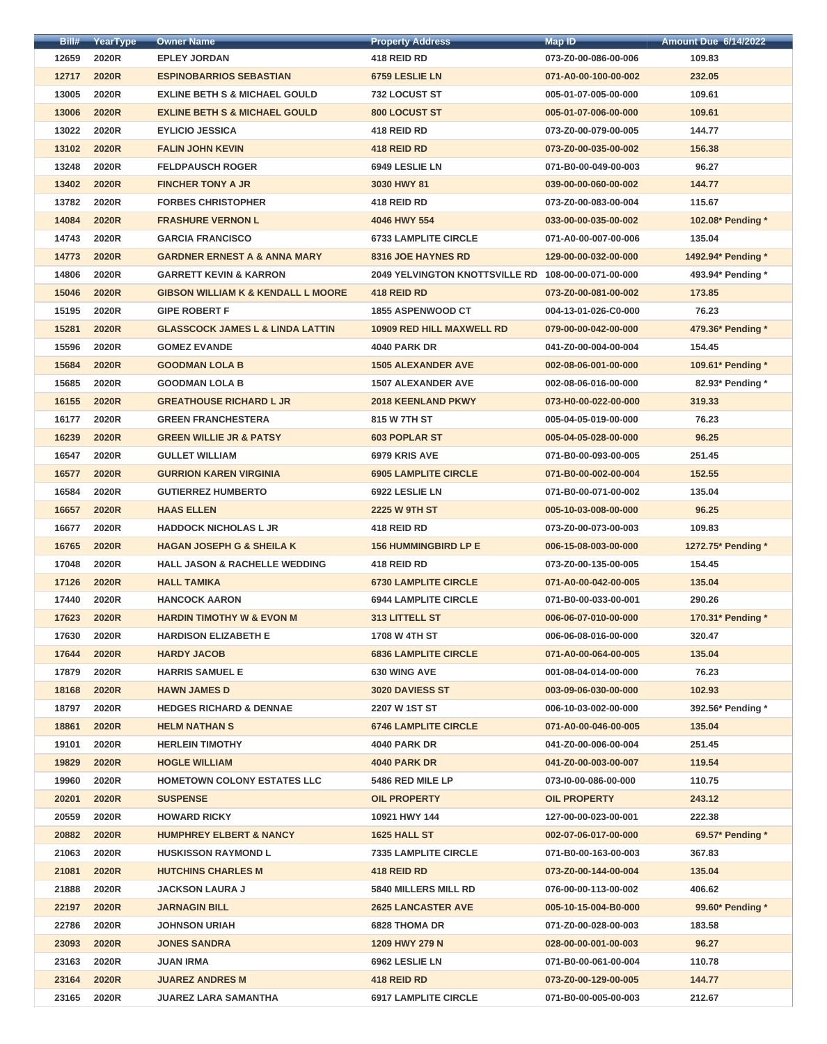| Bill# | YearType     | <b>Owner Name</b>                             | <b>Property Address</b>               | Map ID               | <b>Amount Due 6/14/2022</b> |
|-------|--------------|-----------------------------------------------|---------------------------------------|----------------------|-----------------------------|
| 12659 | 2020R        | <b>EPLEY JORDAN</b>                           | 418 REID RD                           | 073-Z0-00-086-00-006 | 109.83                      |
| 12717 | <b>2020R</b> | <b>ESPINOBARRIOS SEBASTIAN</b>                | 6759 LESLIE LN                        | 071-A0-00-100-00-002 | 232.05                      |
| 13005 | 2020R        | <b>EXLINE BETH S &amp; MICHAEL GOULD</b>      | <b>732 LOCUST ST</b>                  | 005-01-07-005-00-000 | 109.61                      |
| 13006 | <b>2020R</b> | <b>EXLINE BETH S &amp; MICHAEL GOULD</b>      | 800 LOCUST ST                         | 005-01-07-006-00-000 | 109.61                      |
| 13022 | 2020R        | <b>EYLICIO JESSICA</b>                        | 418 REID RD                           | 073-Z0-00-079-00-005 | 144.77                      |
| 13102 | <b>2020R</b> | <b>FALIN JOHN KEVIN</b>                       | 418 REID RD                           | 073-Z0-00-035-00-002 | 156.38                      |
| 13248 | 2020R        | <b>FELDPAUSCH ROGER</b>                       | 6949 LESLIE LN                        | 071-B0-00-049-00-003 | 96.27                       |
| 13402 | <b>2020R</b> | <b>FINCHER TONY A JR</b>                      | 3030 HWY 81                           | 039-00-00-060-00-002 | 144.77                      |
| 13782 | <b>2020R</b> | <b>FORBES CHRISTOPHER</b>                     | 418 REID RD                           | 073-Z0-00-083-00-004 | 115.67                      |
| 14084 | <b>2020R</b> | <b>FRASHURE VERNON L</b>                      | 4046 HWY 554                          | 033-00-00-035-00-002 | 102.08* Pending *           |
| 14743 | 2020R        | <b>GARCIA FRANCISCO</b>                       | <b>6733 LAMPLITE CIRCLE</b>           | 071-A0-00-007-00-006 | 135.04                      |
| 14773 | <b>2020R</b> | <b>GARDNER ERNEST A &amp; ANNA MARY</b>       | 8316 JOE HAYNES RD                    | 129-00-00-032-00-000 | 1492.94* Pending *          |
| 14806 | 2020R        | <b>GARRETT KEVIN &amp; KARRON</b>             | <b>2049 YELVINGTON KNOTTSVILLE RD</b> | 108-00-00-071-00-000 | 493.94* Pending *           |
| 15046 | <b>2020R</b> | <b>GIBSON WILLIAM K &amp; KENDALL L MOORE</b> | 418 REID RD                           | 073-Z0-00-081-00-002 | 173.85                      |
| 15195 | 2020R        | <b>GIPE ROBERT F</b>                          | <b>1855 ASPENWOOD CT</b>              | 004-13-01-026-C0-000 | 76.23                       |
| 15281 | <b>2020R</b> | <b>GLASSCOCK JAMES L &amp; LINDA LATTIN</b>   | <b>10909 RED HILL MAXWELL RD</b>      | 079-00-00-042-00-000 | 479.36* Pending *           |
| 15596 | 2020R        | <b>GOMEZ EVANDE</b>                           | <b>4040 PARK DR</b>                   | 041-Z0-00-004-00-004 | 154.45                      |
| 15684 | <b>2020R</b> | <b>GOODMAN LOLA B</b>                         | <b>1505 ALEXANDER AVE</b>             | 002-08-06-001-00-000 | 109.61* Pending *           |
| 15685 | 2020R        | <b>GOODMAN LOLA B</b>                         | <b>1507 ALEXANDER AVE</b>             | 002-08-06-016-00-000 | 82.93* Pending *            |
| 16155 | <b>2020R</b> | <b>GREATHOUSE RICHARD L JR</b>                | <b>2018 KEENLAND PKWY</b>             | 073-H0-00-022-00-000 | 319.33                      |
| 16177 | 2020R        | <b>GREEN FRANCHESTERA</b>                     | 815 W 7TH ST                          | 005-04-05-019-00-000 | 76.23                       |
| 16239 | <b>2020R</b> | <b>GREEN WILLIE JR &amp; PATSY</b>            | <b>603 POPLAR ST</b>                  | 005-04-05-028-00-000 | 96.25                       |
| 16547 | 2020R        | <b>GULLET WILLIAM</b>                         | 6979 KRIS AVE                         | 071-B0-00-093-00-005 | 251.45                      |
| 16577 | <b>2020R</b> | <b>GURRION KAREN VIRGINIA</b>                 | <b>6905 LAMPLITE CIRCLE</b>           | 071-B0-00-002-00-004 | 152.55                      |
| 16584 | 2020R        | <b>GUTIERREZ HUMBERTO</b>                     | 6922 LESLIE LN                        | 071-B0-00-071-00-002 | 135.04                      |
| 16657 | <b>2020R</b> | <b>HAAS ELLEN</b>                             | <b>2225 W 9TH ST</b>                  | 005-10-03-008-00-000 | 96.25                       |
| 16677 | 2020R        | <b>HADDOCK NICHOLAS L JR</b>                  | 418 REID RD                           | 073-Z0-00-073-00-003 | 109.83                      |
| 16765 | <b>2020R</b> | <b>HAGAN JOSEPH G &amp; SHEILA K</b>          | <b>156 HUMMINGBIRD LP E</b>           | 006-15-08-003-00-000 | 1272.75* Pending *          |
| 17048 | 2020R        | <b>HALL JASON &amp; RACHELLE WEDDING</b>      | 418 REID RD                           | 073-Z0-00-135-00-005 | 154.45                      |
| 17126 | <b>2020R</b> | <b>HALL TAMIKA</b>                            | <b>6730 LAMPLITE CIRCLE</b>           | 071-A0-00-042-00-005 | 135.04                      |
| 17440 | <b>2020R</b> | <b>HANCOCK AARON</b>                          | <b>6944 LAMPLITE CIRCLE</b>           | 071-B0-00-033-00-001 | 290.26                      |
| 17623 | 2020R        | <b>HARDIN TIMOTHY W &amp; EVON M</b>          | <b>313 LITTELL ST</b>                 | 006-06-07-010-00-000 | 170.31* Pending *           |
| 17630 | 2020R        | <b>HARDISON ELIZABETH E</b>                   | <b>1708 W 4TH ST</b>                  | 006-06-08-016-00-000 | 320.47                      |
| 17644 | <b>2020R</b> | <b>HARDY JACOB</b>                            | <b>6836 LAMPLITE CIRCLE</b>           | 071-A0-00-064-00-005 | 135.04                      |
| 17879 | 2020R        | <b>HARRIS SAMUEL E</b>                        | <b>630 WING AVE</b>                   | 001-08-04-014-00-000 | 76.23                       |
| 18168 | <b>2020R</b> | <b>HAWN JAMES D</b>                           | <b>3020 DAVIESS ST</b>                | 003-09-06-030-00-000 | 102.93                      |
| 18797 | 2020R        | <b>HEDGES RICHARD &amp; DENNAE</b>            | 2207 W 1ST ST                         | 006-10-03-002-00-000 | 392.56* Pending *           |
| 18861 | <b>2020R</b> | <b>HELM NATHAN S</b>                          | <b>6746 LAMPLITE CIRCLE</b>           | 071-A0-00-046-00-005 | 135.04                      |
| 19101 | 2020R        | <b>HERLEIN TIMOTHY</b>                        | <b>4040 PARK DR</b>                   | 041-Z0-00-006-00-004 | 251.45                      |
| 19829 | <b>2020R</b> | <b>HOGLE WILLIAM</b>                          | <b>4040 PARK DR</b>                   | 041-Z0-00-003-00-007 | 119.54                      |
| 19960 | 2020R        | <b>HOMETOWN COLONY ESTATES LLC</b>            | 5486 RED MILE LP                      | 073-I0-00-086-00-000 | 110.75                      |
| 20201 | <b>2020R</b> | <b>SUSPENSE</b>                               | <b>OIL PROPERTY</b>                   | <b>OIL PROPERTY</b>  | 243.12                      |
| 20559 | 2020R        | <b>HOWARD RICKY</b>                           | 10921 HWY 144                         | 127-00-00-023-00-001 | 222.38                      |
| 20882 | <b>2020R</b> | <b>HUMPHREY ELBERT &amp; NANCY</b>            | 1625 HALL ST                          | 002-07-06-017-00-000 | 69.57* Pending *            |
| 21063 | 2020R        | <b>HUSKISSON RAYMOND L</b>                    | <b>7335 LAMPLITE CIRCLE</b>           | 071-B0-00-163-00-003 | 367.83                      |
| 21081 | <b>2020R</b> | <b>HUTCHINS CHARLES M</b>                     | 418 REID RD                           | 073-Z0-00-144-00-004 | 135.04                      |
| 21888 | 2020R        | <b>JACKSON LAURA J</b>                        | <b>5840 MILLERS MILL RD</b>           | 076-00-00-113-00-002 | 406.62                      |
| 22197 | <b>2020R</b> | <b>JARNAGIN BILL</b>                          | <b>2625 LANCASTER AVE</b>             | 005-10-15-004-B0-000 | 99.60* Pending *            |
| 22786 | 2020R        | <b>JOHNSON URIAH</b>                          | <b>6828 THOMA DR</b>                  | 071-Z0-00-028-00-003 | 183.58                      |
| 23093 | <b>2020R</b> | <b>JONES SANDRA</b>                           | 1209 HWY 279 N                        | 028-00-00-001-00-003 | 96.27                       |
| 23163 | 2020R        | <b>JUAN IRMA</b>                              | 6962 LESLIE LN                        | 071-B0-00-061-00-004 | 110.78                      |
| 23164 | <b>2020R</b> | <b>JUAREZ ANDRES M</b>                        | 418 REID RD                           | 073-Z0-00-129-00-005 | 144.77                      |
| 23165 | 2020R        | <b>JUAREZ LARA SAMANTHA</b>                   | <b>6917 LAMPLITE CIRCLE</b>           | 071-B0-00-005-00-003 | 212.67                      |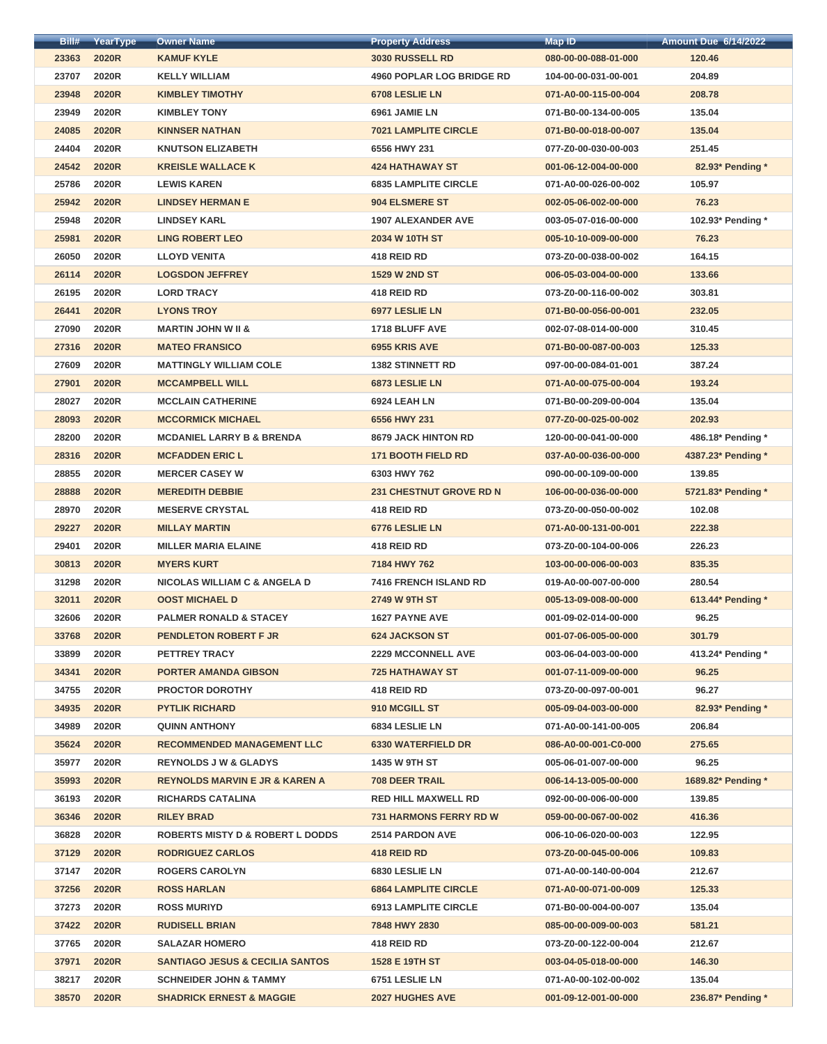| Bill# | YearType     | <b>Owner Name</b>                           | <b>Property Address</b>          | Map ID               | <b>Amount Due 6/14/2022</b> |
|-------|--------------|---------------------------------------------|----------------------------------|----------------------|-----------------------------|
| 23363 | <b>2020R</b> | <b>KAMUF KYLE</b>                           | 3030 RUSSELL RD                  | 080-00-00-088-01-000 | 120.46                      |
| 23707 | 2020R        | <b>KELLY WILLIAM</b>                        | <b>4960 POPLAR LOG BRIDGE RD</b> | 104-00-00-031-00-001 | 204.89                      |
| 23948 | <b>2020R</b> | <b>KIMBLEY TIMOTHY</b>                      | 6708 LESLIE LN                   | 071-A0-00-115-00-004 | 208.78                      |
| 23949 | 2020R        | <b>KIMBLEY TONY</b>                         | 6961 JAMIE LN                    | 071-B0-00-134-00-005 | 135.04                      |
| 24085 | <b>2020R</b> | <b>KINNSER NATHAN</b>                       | <b>7021 LAMPLITE CIRCLE</b>      | 071-B0-00-018-00-007 | 135.04                      |
| 24404 | 2020R        | <b>KNUTSON ELIZABETH</b>                    | 6556 HWY 231                     | 077-Z0-00-030-00-003 | 251.45                      |
| 24542 | <b>2020R</b> | <b>KREISLE WALLACE K</b>                    | <b>424 HATHAWAY ST</b>           | 001-06-12-004-00-000 | 82.93* Pending *            |
| 25786 | 2020R        | <b>LEWIS KAREN</b>                          | <b>6835 LAMPLITE CIRCLE</b>      | 071-A0-00-026-00-002 | 105.97                      |
| 25942 | <b>2020R</b> | <b>LINDSEY HERMAN E</b>                     | 904 ELSMERE ST                   | 002-05-06-002-00-000 | 76.23                       |
| 25948 | 2020R        | <b>LINDSEY KARL</b>                         | <b>1907 ALEXANDER AVE</b>        | 003-05-07-016-00-000 | 102.93* Pending *           |
| 25981 | <b>2020R</b> | <b>LING ROBERT LEO</b>                      | 2034 W 10TH ST                   | 005-10-10-009-00-000 | 76.23                       |
| 26050 | 2020R        | <b>LLOYD VENITA</b>                         | 418 REID RD                      | 073-Z0-00-038-00-002 | 164.15                      |
| 26114 | <b>2020R</b> | <b>LOGSDON JEFFREY</b>                      | <b>1529 W 2ND ST</b>             | 006-05-03-004-00-000 | 133.66                      |
| 26195 | 2020R        | <b>LORD TRACY</b>                           | 418 REID RD                      | 073-Z0-00-116-00-002 | 303.81                      |
| 26441 | <b>2020R</b> | <b>LYONS TROY</b>                           | 6977 LESLIE LN                   | 071-B0-00-056-00-001 | 232.05                      |
| 27090 | 2020R        | <b>MARTIN JOHN W II &amp;</b>               | 1718 BLUFF AVE                   | 002-07-08-014-00-000 | 310.45                      |
| 27316 | <b>2020R</b> | <b>MATEO FRANSICO</b>                       | 6955 KRIS AVE                    | 071-B0-00-087-00-003 | 125.33                      |
| 27609 | 2020R        | <b>MATTINGLY WILLIAM COLE</b>               | <b>1382 STINNETT RD</b>          | 097-00-00-084-01-001 | 387.24                      |
| 27901 | <b>2020R</b> | <b>MCCAMPBELL WILL</b>                      | 6873 LESLIE LN                   | 071-A0-00-075-00-004 | 193.24                      |
| 28027 | 2020R        | <b>MCCLAIN CATHERINE</b>                    | 6924 LEAH LN                     | 071-B0-00-209-00-004 | 135.04                      |
| 28093 | <b>2020R</b> | <b>MCCORMICK MICHAEL</b>                    | 6556 HWY 231                     | 077-Z0-00-025-00-002 | 202.93                      |
| 28200 | 2020R        | <b>MCDANIEL LARRY B &amp; BRENDA</b>        | <b>8679 JACK HINTON RD</b>       | 120-00-00-041-00-000 | 486.18* Pending *           |
| 28316 | <b>2020R</b> | <b>MCFADDEN ERIC L</b>                      | <b>171 BOOTH FIELD RD</b>        | 037-A0-00-036-00-000 | 4387.23* Pending *          |
| 28855 | 2020R        | <b>MERCER CASEY W</b>                       | 6303 HWY 762                     | 090-00-00-109-00-000 | 139.85                      |
| 28888 | <b>2020R</b> | <b>MEREDITH DEBBIE</b>                      | <b>231 CHESTNUT GROVE RD N</b>   | 106-00-00-036-00-000 | 5721.83* Pending *          |
| 28970 | 2020R        | <b>MESERVE CRYSTAL</b>                      | 418 REID RD                      | 073-Z0-00-050-00-002 | 102.08                      |
| 29227 | <b>2020R</b> | <b>MILLAY MARTIN</b>                        | 6776 LESLIE LN                   | 071-A0-00-131-00-001 | 222.38                      |
| 29401 | 2020R        | <b>MILLER MARIA ELAINE</b>                  | 418 REID RD                      | 073-Z0-00-104-00-006 | 226.23                      |
| 30813 | <b>2020R</b> | <b>MYERS KURT</b>                           | 7184 HWY 762                     | 103-00-00-006-00-003 | 835.35                      |
| 31298 | 2020R        | <b>NICOLAS WILLIAM C &amp; ANGELA D</b>     | 7416 FRENCH ISLAND RD            | 019-A0-00-007-00-000 | 280.54                      |
| 32011 | <b>2020R</b> | <b>OOST MICHAEL D</b>                       | <b>2749 W 9TH ST</b>             | 005-13-09-008-00-000 | 613.44* Pending *           |
| 32606 | 2020R        | <b>PALMER RONALD &amp; STACEY</b>           | <b>1627 PAYNE AVE</b>            | 001-09-02-014-00-000 | 96.25                       |
| 33768 | <b>2020R</b> | <b>PENDLETON ROBERT F JR</b>                | <b>624 JACKSON ST</b>            | 001-07-06-005-00-000 | 301.79                      |
| 33899 | 2020R        | <b>PETTREY TRACY</b>                        | <b>2229 MCCONNELL AVE</b>        | 003-06-04-003-00-000 | 413.24* Pending *           |
| 34341 | <b>2020R</b> | <b>PORTER AMANDA GIBSON</b>                 | <b>725 HATHAWAY ST</b>           | 001-07-11-009-00-000 | 96.25                       |
| 34755 | 2020R        | <b>PROCTOR DOROTHY</b>                      | 418 REID RD                      | 073-Z0-00-097-00-001 | 96.27                       |
| 34935 | <b>2020R</b> | <b>PYTLIK RICHARD</b>                       | 910 MCGILL ST                    | 005-09-04-003-00-000 | 82.93* Pending *            |
| 34989 | 2020R        | <b>QUINN ANTHONY</b>                        | 6834 LESLIE LN                   | 071-A0-00-141-00-005 | 206.84                      |
| 35624 | <b>2020R</b> | <b>RECOMMENDED MANAGEMENT LLC</b>           | <b>6330 WATERFIELD DR</b>        | 086-A0-00-001-C0-000 | 275.65                      |
| 35977 | 2020R        | <b>REYNOLDS J W &amp; GLADYS</b>            | <b>1435 W 9TH ST</b>             | 005-06-01-007-00-000 | 96.25                       |
| 35993 | <b>2020R</b> | <b>REYNOLDS MARVIN E JR &amp; KAREN A</b>   | <b>708 DEER TRAIL</b>            | 006-14-13-005-00-000 | 1689.82* Pending *          |
| 36193 | 2020R        | <b>RICHARDS CATALINA</b>                    | <b>RED HILL MAXWELL RD</b>       | 092-00-00-006-00-000 | 139.85                      |
| 36346 | <b>2020R</b> | <b>RILEY BRAD</b>                           | <b>731 HARMONS FERRY RD W</b>    | 059-00-00-067-00-002 | 416.36                      |
| 36828 | 2020R        | <b>ROBERTS MISTY D &amp; ROBERT L DODDS</b> | <b>2514 PARDON AVE</b>           | 006-10-06-020-00-003 | 122.95                      |
| 37129 | <b>2020R</b> | <b>RODRIGUEZ CARLOS</b>                     | 418 REID RD                      | 073-Z0-00-045-00-006 | 109.83                      |
| 37147 | 2020R        | <b>ROGERS CAROLYN</b>                       | 6830 LESLIE LN                   | 071-A0-00-140-00-004 | 212.67                      |
| 37256 | <b>2020R</b> | <b>ROSS HARLAN</b>                          | <b>6864 LAMPLITE CIRCLE</b>      | 071-A0-00-071-00-009 | 125.33                      |
| 37273 | 2020R        | <b>ROSS MURIYD</b>                          | <b>6913 LAMPLITE CIRCLE</b>      | 071-B0-00-004-00-007 | 135.04                      |
| 37422 | <b>2020R</b> | <b>RUDISELL BRIAN</b>                       | 7848 HWY 2830                    | 085-00-00-009-00-003 | 581.21                      |
| 37765 | 2020R        | <b>SALAZAR HOMERO</b>                       | 418 REID RD                      | 073-Z0-00-122-00-004 | 212.67                      |
| 37971 | <b>2020R</b> | <b>SANTIAGO JESUS &amp; CECILIA SANTOS</b>  | <b>1528 E 19TH ST</b>            | 003-04-05-018-00-000 | 146.30                      |
| 38217 | 2020R        | <b>SCHNEIDER JOHN &amp; TAMMY</b>           | 6751 LESLIE LN                   | 071-A0-00-102-00-002 | 135.04                      |
| 38570 | <b>2020R</b> | <b>SHADRICK ERNEST &amp; MAGGIE</b>         | <b>2027 HUGHES AVE</b>           | 001-09-12-001-00-000 | 236.87* Pending *           |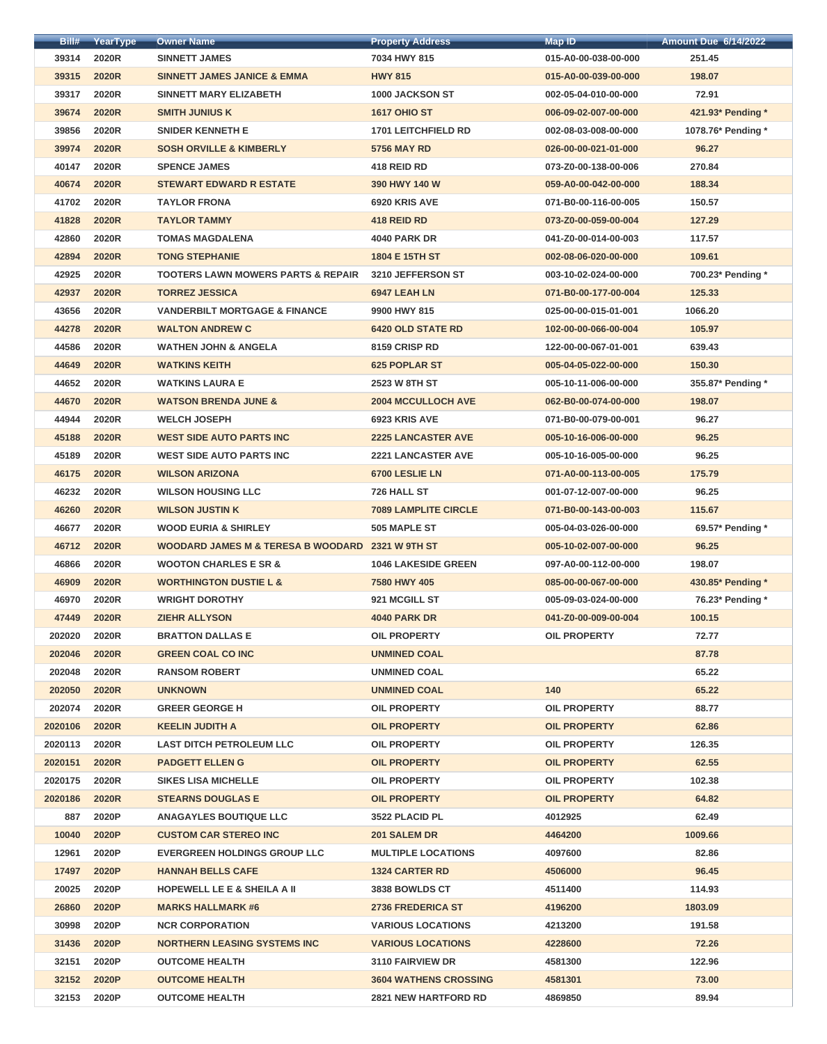| Bill#   | YearType     | <b>Owner Name</b>                                | <b>Property Address</b>      | <b>Map ID</b>        | <b>Amount Due 6/14/2022</b> |
|---------|--------------|--------------------------------------------------|------------------------------|----------------------|-----------------------------|
| 39314   | 2020R        | <b>SINNETT JAMES</b>                             | 7034 HWY 815                 | 015-A0-00-038-00-000 | 251.45                      |
| 39315   | <b>2020R</b> | <b>SINNETT JAMES JANICE &amp; EMMA</b>           | <b>HWY 815</b>               | 015-A0-00-039-00-000 | 198.07                      |
| 39317   | 2020R        | <b>SINNETT MARY ELIZABETH</b>                    | <b>1000 JACKSON ST</b>       | 002-05-04-010-00-000 | 72.91                       |
| 39674   | <b>2020R</b> | <b>SMITH JUNIUS K</b>                            | <b>1617 OHIO ST</b>          | 006-09-02-007-00-000 | 421.93* Pending *           |
| 39856   | 2020R        | <b>SNIDER KENNETH E</b>                          | <b>1701 LEITCHFIELD RD</b>   | 002-08-03-008-00-000 | 1078.76* Pending *          |
| 39974   | <b>2020R</b> | <b>SOSH ORVILLE &amp; KIMBERLY</b>               | <b>5756 MAY RD</b>           | 026-00-00-021-01-000 | 96.27                       |
| 40147   | 2020R        | <b>SPENCE JAMES</b>                              | 418 REID RD                  | 073-Z0-00-138-00-006 | 270.84                      |
| 40674   | <b>2020R</b> | <b>STEWART EDWARD R ESTATE</b>                   | 390 HWY 140 W                | 059-A0-00-042-00-000 | 188.34                      |
| 41702   | 2020R        | <b>TAYLOR FRONA</b>                              | 6920 KRIS AVE                | 071-B0-00-116-00-005 | 150.57                      |
| 41828   | <b>2020R</b> | <b>TAYLOR TAMMY</b>                              | 418 REID RD                  | 073-Z0-00-059-00-004 | 127.29                      |
| 42860   | 2020R        | <b>TOMAS MAGDALENA</b>                           | <b>4040 PARK DR</b>          | 041-Z0-00-014-00-003 | 117.57                      |
| 42894   | <b>2020R</b> | <b>TONG STEPHANIE</b>                            | 1804 E 15TH ST               | 002-08-06-020-00-000 | 109.61                      |
| 42925   | 2020R        | <b>TOOTERS LAWN MOWERS PARTS &amp; REPAIR</b>    | 3210 JEFFERSON ST            | 003-10-02-024-00-000 | 700.23* Pending *           |
| 42937   | <b>2020R</b> | <b>TORREZ JESSICA</b>                            | 6947 LEAH LN                 | 071-B0-00-177-00-004 | 125.33                      |
| 43656   | 2020R        | <b>VANDERBILT MORTGAGE &amp; FINANCE</b>         | 9900 HWY 815                 | 025-00-00-015-01-001 | 1066.20                     |
| 44278   | <b>2020R</b> | <b>WALTON ANDREW C</b>                           | <b>6420 OLD STATE RD</b>     | 102-00-00-066-00-004 | 105.97                      |
| 44586   | 2020R        | <b>WATHEN JOHN &amp; ANGELA</b>                  | 8159 CRISP RD                | 122-00-00-067-01-001 | 639.43                      |
| 44649   | <b>2020R</b> | <b>WATKINS KEITH</b>                             | <b>625 POPLAR ST</b>         | 005-04-05-022-00-000 | 150.30                      |
| 44652   | 2020R        | <b>WATKINS LAURA E</b>                           | 2523 W 8TH ST                | 005-10-11-006-00-000 | 355.87* Pending *           |
| 44670   | <b>2020R</b> | <b>WATSON BRENDA JUNE &amp;</b>                  | <b>2004 MCCULLOCH AVE</b>    | 062-B0-00-074-00-000 | 198.07                      |
| 44944   | 2020R        | <b>WELCH JOSEPH</b>                              | 6923 KRIS AVE                | 071-B0-00-079-00-001 | 96.27                       |
| 45188   | <b>2020R</b> | <b>WEST SIDE AUTO PARTS INC</b>                  | <b>2225 LANCASTER AVE</b>    | 005-10-16-006-00-000 | 96.25                       |
| 45189   | 2020R        | <b>WEST SIDE AUTO PARTS INC.</b>                 | <b>2221 LANCASTER AVE</b>    | 005-10-16-005-00-000 | 96.25                       |
| 46175   | <b>2020R</b> | <b>WILSON ARIZONA</b>                            | 6700 LESLIE LN               | 071-A0-00-113-00-005 | 175.79                      |
| 46232   | 2020R        | <b>WILSON HOUSING LLC</b>                        | 726 HALL ST                  | 001-07-12-007-00-000 | 96.25                       |
| 46260   | <b>2020R</b> | <b>WILSON JUSTIN K</b>                           | <b>7089 LAMPLITE CIRCLE</b>  | 071-B0-00-143-00-003 | 115.67                      |
| 46677   | 2020R        | <b>WOOD EURIA &amp; SHIRLEY</b>                  | 505 MAPLE ST                 | 005-04-03-026-00-000 | 69.57* Pending *            |
| 46712   | <b>2020R</b> | WOODARD JAMES M & TERESA B WOODARD 2321 W 9TH ST |                              | 005-10-02-007-00-000 | 96.25                       |
| 46866   | 2020R        | <b>WOOTON CHARLES E SR &amp;</b>                 | <b>1046 LAKESIDE GREEN</b>   | 097-A0-00-112-00-000 | 198.07                      |
| 46909   | <b>2020R</b> | <b>WORTHINGTON DUSTIE L &amp;</b>                | 7580 HWY 405                 | 085-00-00-067-00-000 | 430.85* Pending *           |
| 46970   | 2020R        | <b>WRIGHT DOROTHY</b>                            | 921 MCGILL ST                | 005-09-03-024-00-000 | 76.23* Pending *            |
| 47449   | <b>2020R</b> | <b>ZIEHR ALLYSON</b>                             | <b>4040 PARK DR</b>          | 041-Z0-00-009-00-004 | 100.15                      |
| 202020  | 2020R        | <b>BRATTON DALLAS E</b>                          | <b>OIL PROPERTY</b>          | <b>OIL PROPERTY</b>  | 72.77                       |
| 202046  | <b>2020R</b> | <b>GREEN COAL CO INC</b>                         | <b>UNMINED COAL</b>          |                      | 87.78                       |
| 202048  | 2020R        | <b>RANSOM ROBERT</b>                             | <b>UNMINED COAL</b>          |                      | 65.22                       |
| 202050  | <b>2020R</b> | <b>UNKNOWN</b>                                   | <b>UNMINED COAL</b>          | 140                  | 65.22                       |
| 202074  | 2020R        | <b>GREER GEORGE H</b>                            | <b>OIL PROPERTY</b>          | <b>OIL PROPERTY</b>  | 88.77                       |
| 2020106 | <b>2020R</b> | <b>KEELIN JUDITH A</b>                           | <b>OIL PROPERTY</b>          | <b>OIL PROPERTY</b>  | 62.86                       |
| 2020113 | 2020R        | <b>LAST DITCH PETROLEUM LLC</b>                  | <b>OIL PROPERTY</b>          | <b>OIL PROPERTY</b>  | 126.35                      |
| 2020151 | <b>2020R</b> | <b>PADGETT ELLEN G</b>                           | <b>OIL PROPERTY</b>          | <b>OIL PROPERTY</b>  | 62.55                       |
| 2020175 | 2020R        | <b>SIKES LISA MICHELLE</b>                       | <b>OIL PROPERTY</b>          | <b>OIL PROPERTY</b>  | 102.38                      |
| 2020186 | <b>2020R</b> | <b>STEARNS DOUGLAS E</b>                         | <b>OIL PROPERTY</b>          | <b>OIL PROPERTY</b>  | 64.82                       |
| 887     | 2020P        | <b>ANAGAYLES BOUTIQUE LLC</b>                    | 3522 PLACID PL               | 4012925              | 62.49                       |
| 10040   | 2020P        | <b>CUSTOM CAR STEREO INC</b>                     | 201 SALEM DR                 | 4464200              | 1009.66                     |
| 12961   | 2020P        | <b>EVERGREEN HOLDINGS GROUP LLC</b>              | <b>MULTIPLE LOCATIONS</b>    | 4097600              | 82.86                       |
| 17497   | 2020P        | <b>HANNAH BELLS CAFE</b>                         | <b>1324 CARTER RD</b>        | 4506000              | 96.45                       |
| 20025   | 2020P        | <b>HOPEWELL LE E &amp; SHEILA A II</b>           | 3838 BOWLDS CT               | 4511400              | 114.93                      |
| 26860   | 2020P        | <b>MARKS HALLMARK #6</b>                         | <b>2736 FREDERICA ST</b>     | 4196200              | 1803.09                     |
| 30998   | 2020P        | <b>NCR CORPORATION</b>                           | <b>VARIOUS LOCATIONS</b>     | 4213200              | 191.58                      |
| 31436   | 2020P        | <b>NORTHERN LEASING SYSTEMS INC</b>              | <b>VARIOUS LOCATIONS</b>     | 4228600              | 72.26                       |
| 32151   | 2020P        | <b>OUTCOME HEALTH</b>                            | 3110 FAIRVIEW DR             | 4581300              | 122.96                      |
| 32152   | 2020P        | <b>OUTCOME HEALTH</b>                            | <b>3604 WATHENS CROSSING</b> | 4581301              | 73.00                       |
| 32153   | 2020P        | <b>OUTCOME HEALTH</b>                            | <b>2821 NEW HARTFORD RD</b>  | 4869850              | 89.94                       |